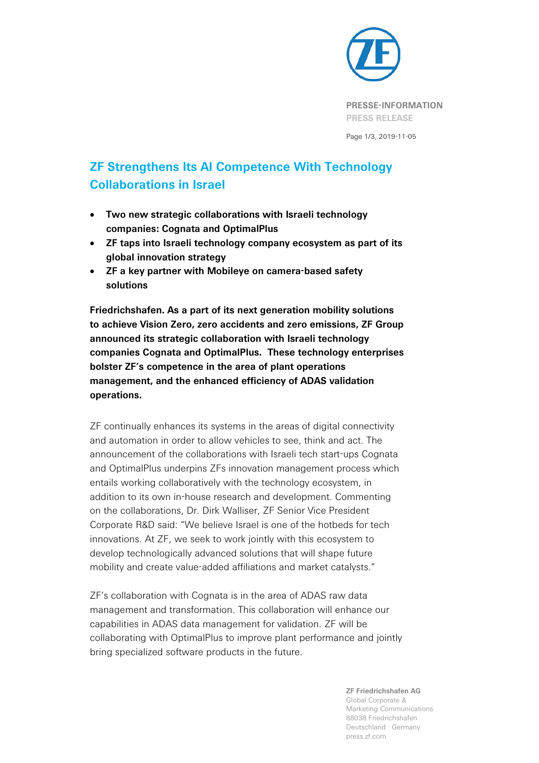

**PRESSE-INFORMATION PRESS RELEASE**

Page 1/3, 2019-11-05

## **ZF Strengthens Its AI Competence With Technology Collaborations in Israel**

- **Two new strategic collaborations with Israeli technology companies: Cognata and OptimalPlus**
- **ZF taps into Israeli technology company ecosystem as part of its global innovation strategy**
- **ZF a key partner with Mobileye on camera-based safety solutions**

**Friedrichshafen. As a part of its next generation mobility solutions to achieve Vision Zero, zero accidents and zero emissions, ZF Group announced its strategic collaboration with Israeli technology companies Cognata and OptimalPlus. These technology enterprises bolster ZF's competence in the area of plant operations management, and the enhanced efficiency of ADAS validation operations.**

ZF continually enhances its systems in the areas of digital connectivity and automation in order to allow vehicles to see, think and act. The announcement of the collaborations with Israeli tech start-ups Cognata and OptimalPlus underpins ZFs innovation management process which entails working collaboratively with the technology ecosystem, in addition to its own in-house research and development. Commenting on the collaborations, Dr. Dirk Walliser, ZF Senior Vice President Corporate R&D said: "We believe Israel is one of the hotbeds for tech innovations. At ZF, we seek to work jointly with this ecosystem to develop technologically advanced solutions that will shape future mobility and create value-added affiliations and market catalysts."

ZF's collaboration with Cognata is in the area of ADAS raw data management and transformation. This collaboration will enhance our capabilities in ADAS data management for validation. ZF will be collaborating with OptimalPlus to improve plant performance and jointly bring specialized software products in the future.

> **ZF Friedrichshafen AG** Global Corporate & Marketing Communications 88038 Friedrichshafen Deutschland · Germany press.zf.com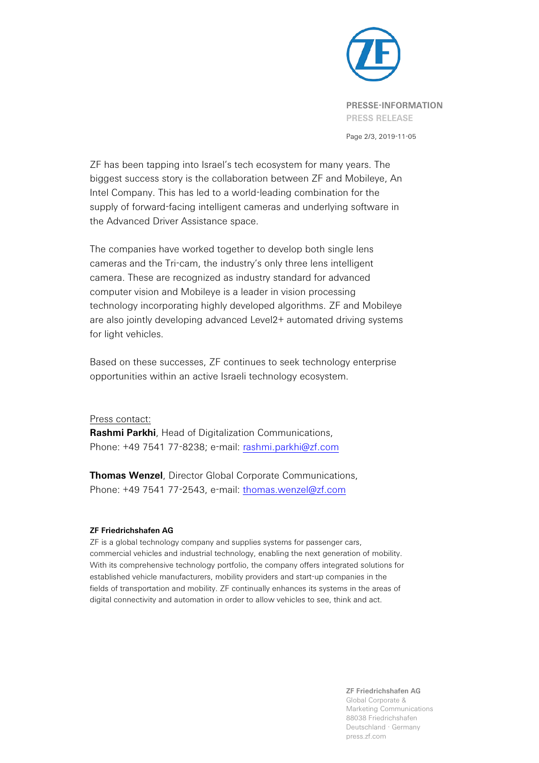

Page 2/3, 2019-11-05

ZF has been tapping into Israel's tech ecosystem for many years. The biggest success story is the collaboration between ZF and Mobileye, An Intel Company. This has led to a world-leading combination for the supply of forward-facing intelligent cameras and underlying software in the Advanced Driver Assistance space.

The companies have worked together to develop both single lens cameras and the Tri-cam, the industry's only three lens intelligent camera. These are recognized as industry standard for advanced computer vision and Mobileye is a leader in vision processing technology incorporating highly developed algorithms. ZF and Mobileye are also jointly developing advanced Level2+ automated driving systems for light vehicles.

Based on these successes, ZF continues to seek technology enterprise opportunities within an active Israeli technology ecosystem.

## Press contact:

**Rashmi Parkhi**, Head of Digitalization Communications, Phone: [+49 7541 77-8238;](tel:+49%207541%2077-8238) e-mail: [rashmi.parkhi@zf.com](mailto:rashmi.parkhi@zf.com)

**Thomas Wenzel**, Director Global Corporate Communications, Phone: +49 7541 77-2543, e-mail: [thomas.wenzel@zf.com](mailto:thomas.wenzel@zf.com)

## **ZF Friedrichshafen AG**

ZF is a global technology company and supplies systems for passenger cars, commercial vehicles and industrial technology, enabling the next generation of mobility. With its comprehensive technology portfolio, the company offers integrated solutions for established vehicle manufacturers, mobility providers and start-up companies in the fields of transportation and mobility. ZF continually enhances its systems in the areas of digital connectivity and automation in order to allow vehicles to see, think and act.

> **ZF Friedrichshafen AG** Global Corporate & Marketing Communications 88038 Friedrichshafen Deutschland · Germany press.zf.com